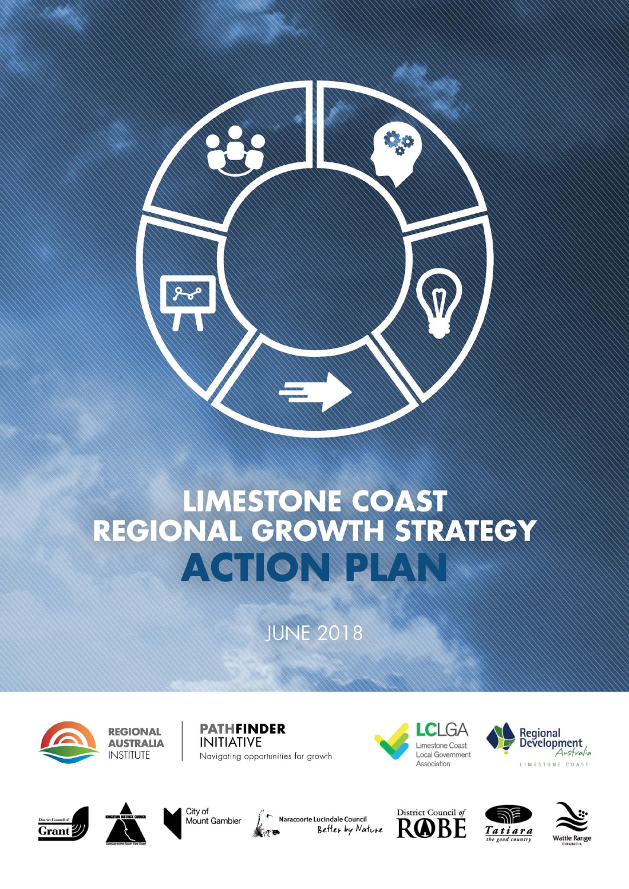

# LIMESTONE COAST<br>REGIONAL GROWTH STRATEGY **ACTION PLAN**

**JUNE 2018** 



**REGIONAL AUSTRALIA INSTITUTE** 

**PATHFINDER INITIATIVE** Navigating opportunities for growth













Naracoorte Lucindale Council Better by Nature





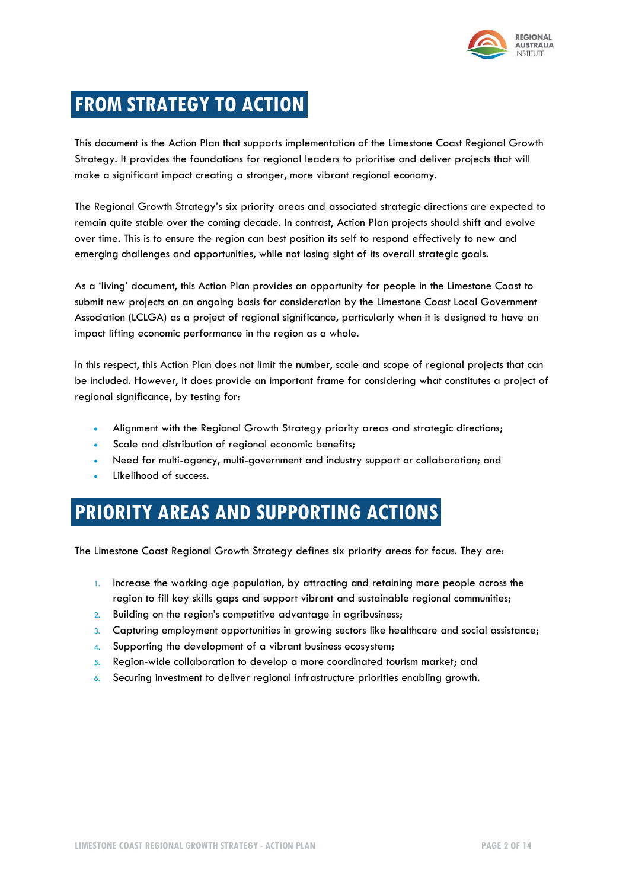

# **FROM STRATEGY TO ACTION**

This document is the Action Plan that supports implementation of the Limestone Coast Regional Growth Strategy. It provides the foundations for regional leaders to prioritise and deliver projects that will make a significant impact creating a stronger, more vibrant regional economy.

The Regional Growth Strategy's six priority areas and associated strategic directions are expected to remain quite stable over the coming decade. In contrast, Action Plan projects should shift and evolve over time. This is to ensure the region can best position its self to respond effectively to new and emerging challenges and opportunities, while not losing sight of its overall strategic goals.

As a 'living' document, this Action Plan provides an opportunity for people in the Limestone Coast to submit new projects on an ongoing basis for consideration by the Limestone Coast Local Government Association (LCLGA) as a project of regional significance, particularly when it is designed to have an impact lifting economic performance in the region as a whole.

In this respect, this Action Plan does not limit the number, scale and scope of regional projects that can be included. However, it does provide an important frame for considering what constitutes a project of regional significance, by testing for:

- Alignment with the Regional Growth Strategy priority areas and strategic directions;
- Scale and distribution of regional economic benefits;
- Need for multi-agency, multi-government and industry support or collaboration; and
- Likelihood of success.

# **PRIORITY AREAS AND SUPPORTING ACTIONS**

The Limestone Coast Regional Growth Strategy defines six priority areas for focus. They are:

- 1. Increase the working age population, by attracting and retaining more people across the region to fill key skills gaps and support vibrant and sustainable regional communities;
- 2. Building on the region's competitive advantage in agribusiness;
- 3. Capturing employment opportunities in growing sectors like healthcare and social assistance;
- 4. Supporting the development of a vibrant business ecosystem;
- 5. Region-wide collaboration to develop a more coordinated tourism market; and
- 6. Securing investment to deliver regional infrastructure priorities enabling growth.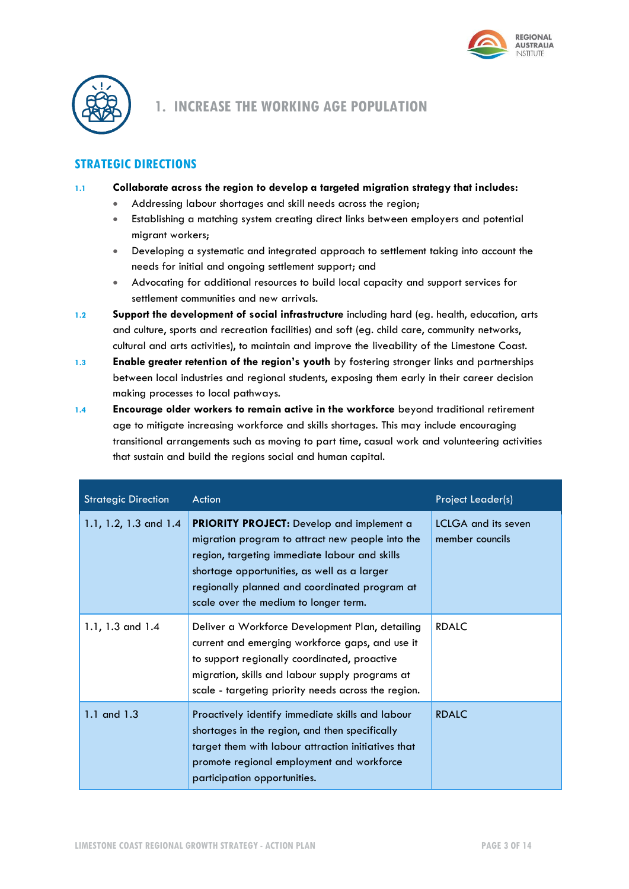



# **1. INCREASE THE WORKING AGE POPULATION**

### **STRATEGIC DIRECTIONS**

#### **1.1 Collaborate across the region to develop a targeted migration strategy that includes:**

- Addressing labour shortages and skill needs across the region;
- Establishing a matching system creating direct links between employers and potential migrant workers;
- Developing a systematic and integrated approach to settlement taking into account the needs for initial and ongoing settlement support; and
- Advocating for additional resources to build local capacity and support services for settlement communities and new arrivals.
- **1.2 Support the development of social infrastructure** including hard (eg. health, education, arts and culture, sports and recreation facilities) and soft (eg. child care, community networks, cultural and arts activities), to maintain and improve the liveability of the Limestone Coast.
- **1.3 Enable greater retention of the region's youth** by fostering stronger links and partnerships between local industries and regional students, exposing them early in their career decision making processes to local pathways.
- **1.4 Encourage older workers to remain active in the workforce** beyond traditional retirement age to mitigate increasing workforce and skills shortages. This may include encouraging transitional arrangements such as moving to part time, casual work and volunteering activities that sustain and build the regions social and human capital.

| <b>Strategic Direction</b> | Action                                                                                                                                                                                                                                                                                  | Project Leader(s)                             |
|----------------------------|-----------------------------------------------------------------------------------------------------------------------------------------------------------------------------------------------------------------------------------------------------------------------------------------|-----------------------------------------------|
| 1.1, 1.2, 1.3 and 1.4      | PRIORITY PROJECT: Develop and implement a<br>migration program to attract new people into the<br>region, targeting immediate labour and skills<br>shortage opportunities, as well as a larger<br>regionally planned and coordinated program at<br>scale over the medium to longer term. | <b>LCLGA</b> and its seven<br>member councils |
| 1.1, 1.3 and 1.4           | Deliver a Workforce Development Plan, detailing<br>current and emerging workforce gaps, and use it<br>to support regionally coordinated, proactive<br>migration, skills and labour supply programs at<br>scale - targeting priority needs across the region.                            | <b>RDALC</b>                                  |
| 1.1 and 1.3                | Proactively identify immediate skills and labour<br>shortages in the region, and then specifically<br>target them with labour attraction initiatives that<br>promote regional employment and workforce<br>participation opportunities.                                                  | <b>RDALC</b>                                  |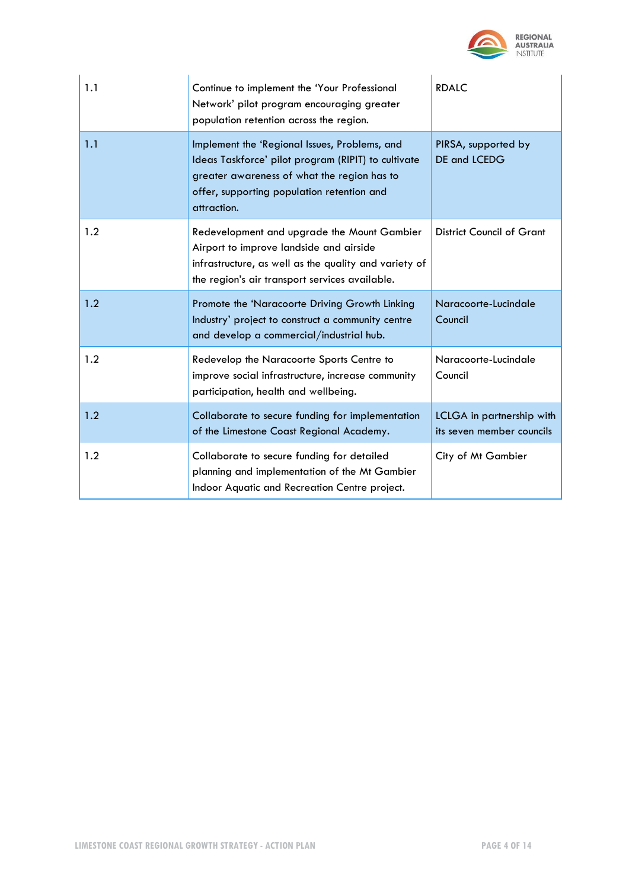

| 1.1 | Continue to implement the 'Your Professional<br>Network' pilot program encouraging greater<br>population retention across the region.                                                                            | <b>RDALC</b>                                           |
|-----|------------------------------------------------------------------------------------------------------------------------------------------------------------------------------------------------------------------|--------------------------------------------------------|
| 1.1 | Implement the 'Regional Issues, Problems, and<br>Ideas Taskforce' pilot program (RIPIT) to cultivate<br>greater awareness of what the region has to<br>offer, supporting population retention and<br>attraction. | PIRSA, supported by<br>DE and LCEDG                    |
| 1.2 | Redevelopment and upgrade the Mount Gambier<br>Airport to improve landside and airside<br>infrastructure, as well as the quality and variety of<br>the region's air transport services available.                | <b>District Council of Grant</b>                       |
| 1.2 | Promote the 'Naracoorte Driving Growth Linking<br>Industry' project to construct a community centre<br>and develop a commercial/industrial hub.                                                                  | Naracoorte-Lucindale<br>Council                        |
| 1.2 | Redevelop the Naracoorte Sports Centre to<br>improve social infrastructure, increase community<br>participation, health and wellbeing.                                                                           | Naracoorte-Lucindale<br>Council                        |
| 1.2 | Collaborate to secure funding for implementation<br>of the Limestone Coast Regional Academy.                                                                                                                     | LCLGA in partnership with<br>its seven member councils |
| 1.2 | Collaborate to secure funding for detailed<br>planning and implementation of the Mt Gambier<br>Indoor Aquatic and Recreation Centre project.                                                                     | City of Mt Gambier                                     |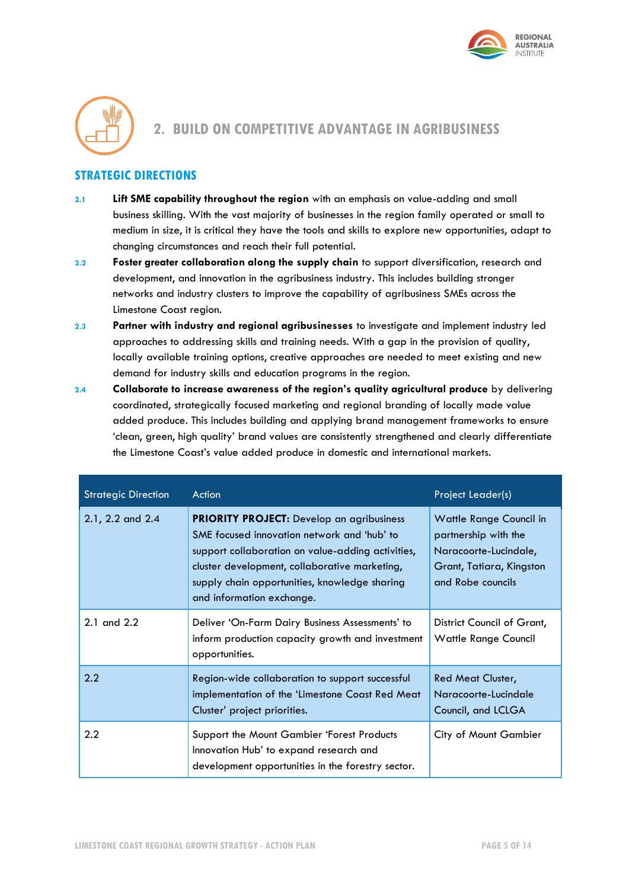



## **2. BUILD ON COMPETITIVE ADVANTAGE IN AGRIBUSINESS**

- **2.1 Lift SME capability throughout the region** with an emphasis on value-adding and small business skilling. With the vast majority of businesses in the region family operated or small to medium in size, it is critical they have the tools and skills to explore new opportunities, adapt to changing circumstances and reach their full potential.
- **2.2 Foster greater collaboration along the supply chain** to support diversification, research and development, and innovation in the agribusiness industry. This includes building stronger networks and industry clusters to improve the capability of agribusiness SMEs across the Limestone Coast region.
- **2.3 Partner with industry and regional agribusinesses** to investigate and implement industry led approaches to addressing skills and training needs. With a gap in the provision of quality, locally available training options, creative approaches are needed to meet existing and new demand for industry skills and education programs in the region.
- **2.4 Collaborate to increase awareness of the region's quality agricultural produce** by delivering coordinated, strategically focused marketing and regional branding of locally made value added produce. This includes building and applying brand management frameworks to ensure 'clean, green, high quality' brand values are consistently strengthened and clearly differentiate the Limestone Coast's value added produce in domestic and international markets.

| <b>Strategic Direction</b> | Action                                                                                                                                                                                                                                                                              | Project Leader(s)                                                                                                         |
|----------------------------|-------------------------------------------------------------------------------------------------------------------------------------------------------------------------------------------------------------------------------------------------------------------------------------|---------------------------------------------------------------------------------------------------------------------------|
| 2.1, 2.2 and 2.4           | <b>PRIORITY PROJECT:</b> Develop an agribusiness<br>SME focused innovation network and 'hub' to<br>support collaboration on value-adding activities,<br>cluster development, collaborative marketing,<br>supply chain opportunities, knowledge sharing<br>and information exchange. | Wattle Range Council in<br>partnership with the<br>Naracoorte-Lucindale,<br>Grant, Tatiara, Kingston<br>and Robe councils |
| $2.1$ and $2.2$            | Deliver 'On-Farm Dairy Business Assessments' to<br>inform production capacity growth and investment<br>opportunities.                                                                                                                                                               | District Council of Grant,<br><b>Wattle Range Council</b>                                                                 |
| 2.2                        | Region-wide collaboration to support successful<br>implementation of the 'Limestone Coast Red Meat<br>Cluster' project priorities.                                                                                                                                                  | Red Meat Cluster,<br>Naracoorte-Lucindale<br>Council, and LCLGA                                                           |
| 2.2                        | Support the Mount Gambier 'Forest Products<br>Innovation Hub' to expand research and<br>development opportunities in the forestry sector.                                                                                                                                           | City of Mount Gambier                                                                                                     |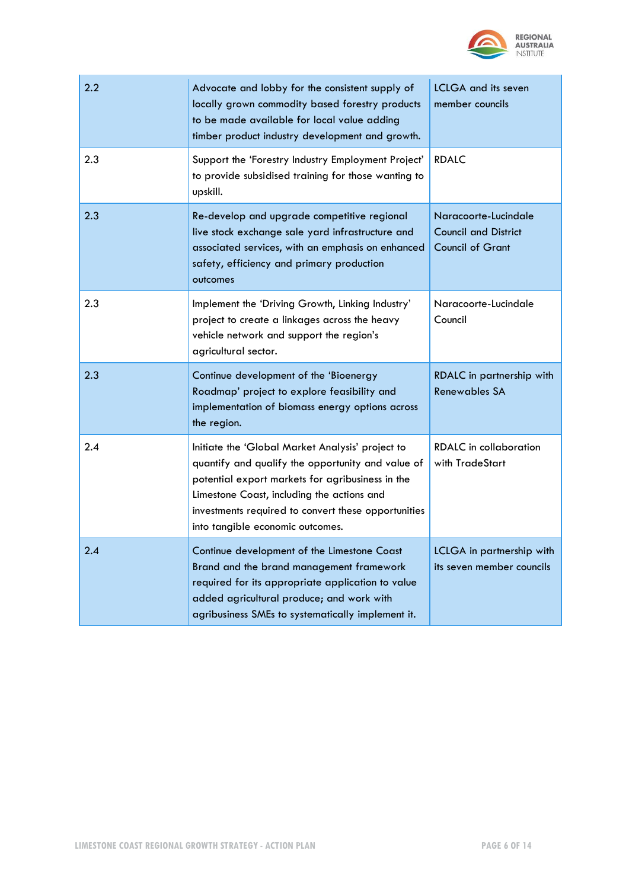

| 2.2 | Advocate and lobby for the consistent supply of<br>locally grown commodity based forestry products<br>to be made available for local value adding<br>timber product industry development and growth.                                                                                               | <b>LCLGA and its seven</b><br>member councils                                  |
|-----|----------------------------------------------------------------------------------------------------------------------------------------------------------------------------------------------------------------------------------------------------------------------------------------------------|--------------------------------------------------------------------------------|
| 2.3 | Support the 'Forestry Industry Employment Project'<br>to provide subsidised training for those wanting to<br>upskill.                                                                                                                                                                              | <b>RDALC</b>                                                                   |
| 2.3 | Re-develop and upgrade competitive regional<br>live stock exchange sale yard infrastructure and<br>associated services, with an emphasis on enhanced<br>safety, efficiency and primary production<br>outcomes                                                                                      | Naracoorte-Lucindale<br><b>Council and District</b><br><b>Council of Grant</b> |
| 2.3 | Implement the 'Driving Growth, Linking Industry'<br>project to create a linkages across the heavy<br>vehicle network and support the region's<br>agricultural sector.                                                                                                                              | Naracoorte-Lucindale<br>Council                                                |
| 2.3 | Continue development of the 'Bioenergy<br>Roadmap' project to explore feasibility and<br>implementation of biomass energy options across<br>the region.                                                                                                                                            | RDALC in partnership with<br>Renewables SA                                     |
| 2.4 | Initiate the 'Global Market Analysis' project to<br>quantify and qualify the opportunity and value of<br>potential export markets for agribusiness in the<br>Limestone Coast, including the actions and<br>investments required to convert these opportunities<br>into tangible economic outcomes. | RDALC in collaboration<br>with TradeStart                                      |
| 2.4 | Continue development of the Limestone Coast<br>Brand and the brand management framework<br>required for its appropriate application to value<br>added agricultural produce; and work with<br>agribusiness SMEs to systematically implement it.                                                     | LCLGA in partnership with<br>its seven member councils                         |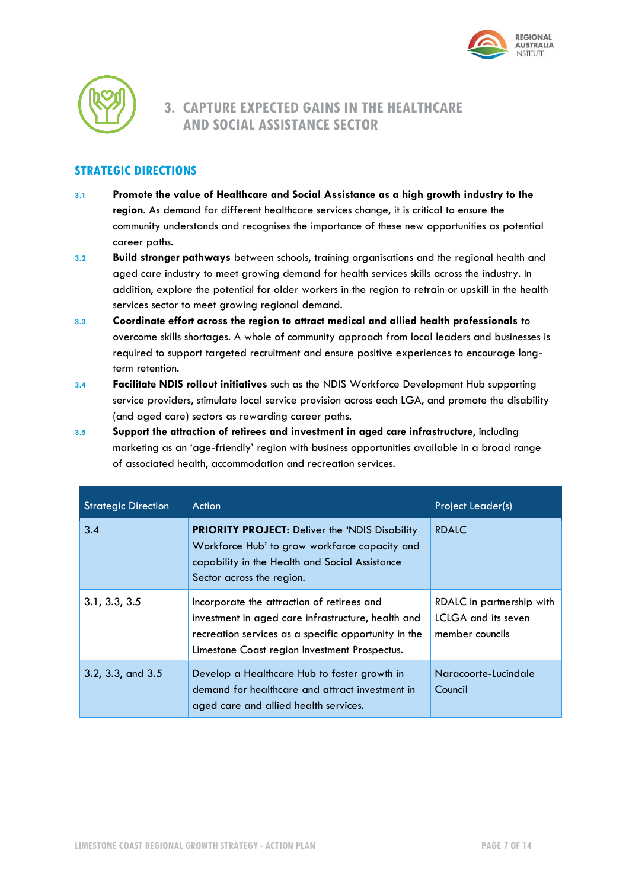



# **3. CAPTURE EXPECTED GAINS IN THE HEALTHCARE AND SOCIAL ASSISTANCE SECTOR**

- **3.1 Promote the value of Healthcare and Social Assistance as a high growth industry to the region**. As demand for different healthcare services change, it is critical to ensure the community understands and recognises the importance of these new opportunities as potential career paths.
- **3.2 Build stronger pathways** between schools, training organisations and the regional health and aged care industry to meet growing demand for health services skills across the industry. In addition, explore the potential for older workers in the region to retrain or upskill in the health services sector to meet growing regional demand.
- **3.3 Coordinate effort across the region to attract medical and allied health professionals** to overcome skills shortages. A whole of community approach from local leaders and businesses is required to support targeted recruitment and ensure positive experiences to encourage longterm retention.
- **3.4 Facilitate NDIS rollout initiatives** such as the NDIS Workforce Development Hub supporting service providers, stimulate local service provision across each LGA, and promote the disability (and aged care) sectors as rewarding career paths.
- **3.5 Support the attraction of retirees and investment in aged care infrastructure**, including marketing as an 'age-friendly' region with business opportunities available in a broad range of associated health, accommodation and recreation services.

| <b>Strategic Direction</b> | Action                                                                                                                                                                                                    | <b>Project Leader(s)</b>                                            |
|----------------------------|-----------------------------------------------------------------------------------------------------------------------------------------------------------------------------------------------------------|---------------------------------------------------------------------|
| 3.4                        | <b>PRIORITY PROJECT:</b> Deliver the 'NDIS Disability<br>Workforce Hub' to grow workforce capacity and<br>capability in the Health and Social Assistance<br>Sector across the region.                     | <b>RDALC</b>                                                        |
| 3.1, 3.3, 3.5              | Incorporate the attraction of retirees and<br>investment in aged care infrastructure, health and<br>recreation services as a specific opportunity in the<br>Limestone Coast region Investment Prospectus. | RDALC in partnership with<br>LCLGA and its seven<br>member councils |
| 3.2, 3.3, and 3.5          | Develop a Healthcare Hub to foster growth in<br>demand for healthcare and attract investment in<br>aged care and allied health services.                                                                  | Naracoorte-Lucindale<br>Council                                     |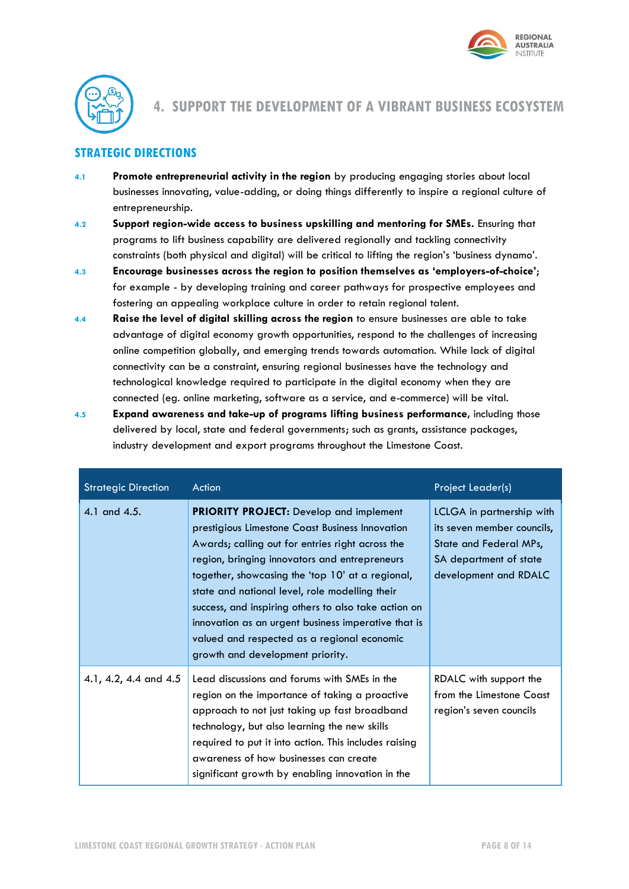



**4. SUPPORT THE DEVELOPMENT OF A VIBRANT BUSINESS ECOSYSTEM** 

- **4.1 Promote entrepreneurial activity in the region** by producing engaging stories about local businesses innovating, value-adding, or doing things differently to inspire a regional culture of entrepreneurship.
- **4.2 Support region-wide access to business upskilling and mentoring for SMEs.** Ensuring that programs to lift business capability are delivered regionally and tackling connectivity constraints (both physical and digital) will be critical to lifting the region's 'business dynamo'.
- **4.3 Encourage businesses across the region to position themselves as 'employers-of-choice'**; for example - by developing training and career pathways for prospective employees and fostering an appealing workplace culture in order to retain regional talent.
- **4.4 Raise the level of digital skilling across the region** to ensure businesses are able to take advantage of digital economy growth opportunities, respond to the challenges of increasing online competition globally, and emerging trends towards automation. While lack of digital connectivity can be a constraint, ensuring regional businesses have the technology and technological knowledge required to participate in the digital economy when they are connected (eg. online marketing, software as a service, and e-commerce) will be vital.
- **4.5 Expand awareness and take-up of programs lifting business performance,** including those delivered by local, state and federal governments; such as grants, assistance packages, industry development and export programs throughout the Limestone Coast.

| <b>Strategic Direction</b> | Action                                                                                                                                                                                                                                                                                                                                                                                                                                                                                                         | <b>Project Leader(s)</b>                                                                                                             |
|----------------------------|----------------------------------------------------------------------------------------------------------------------------------------------------------------------------------------------------------------------------------------------------------------------------------------------------------------------------------------------------------------------------------------------------------------------------------------------------------------------------------------------------------------|--------------------------------------------------------------------------------------------------------------------------------------|
| 4.1 and 4.5.               | <b>PRIORITY PROJECT:</b> Develop and implement<br>prestigious Limestone Coast Business Innovation<br>Awards; calling out for entries right across the<br>region, bringing innovators and entrepreneurs<br>together, showcasing the 'top 10' at a regional,<br>state and national level, role modelling their<br>success, and inspiring others to also take action on<br>innovation as an urgent business imperative that is<br>valued and respected as a regional economic<br>growth and development priority. | LCLGA in partnership with<br>its seven member councils,<br>State and Federal MPs,<br>SA department of state<br>development and RDALC |
| 4.1, 4.2, 4.4 and 4.5      | Lead discussions and forums with SMEs in the<br>region on the importance of taking a proactive<br>approach to not just taking up fast broadband<br>technology, but also learning the new skills<br>required to put it into action. This includes raising<br>awareness of how businesses can create<br>significant growth by enabling innovation in the                                                                                                                                                         | RDALC with support the<br>from the Limestone Coast<br>region's seven councils                                                        |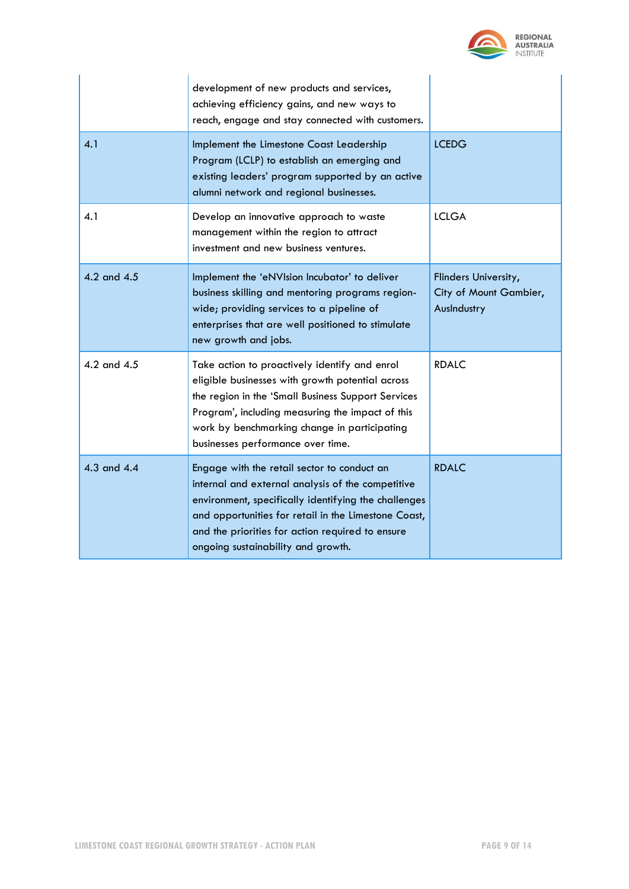

|             | development of new products and services,<br>achieving efficiency gains, and new ways to<br>reach, engage and stay connected with customers.                                                                                                                                                               |                                                               |
|-------------|------------------------------------------------------------------------------------------------------------------------------------------------------------------------------------------------------------------------------------------------------------------------------------------------------------|---------------------------------------------------------------|
| 4.1         | Implement the Limestone Coast Leadership<br>Program (LCLP) to establish an emerging and<br>existing leaders' program supported by an active<br>alumni network and regional businesses.                                                                                                                     | <b>LCEDG</b>                                                  |
| 4.1         | Develop an innovative approach to waste<br>management within the region to attract<br>investment and new business ventures.                                                                                                                                                                                | <b>LCLGA</b>                                                  |
| 4.2 and 4.5 | Implement the 'eNVIsion Incubator' to deliver<br>business skilling and mentoring programs region-<br>wide; providing services to a pipeline of<br>enterprises that are well positioned to stimulate<br>new growth and jobs.                                                                                | Flinders University,<br>City of Mount Gambier,<br>Auslndustry |
| 4.2 and 4.5 | Take action to proactively identify and enrol<br>eligible businesses with growth potential across<br>the region in the 'Small Business Support Services<br>Program', including measuring the impact of this<br>work by benchmarking change in participating<br>businesses performance over time.           | <b>RDALC</b>                                                  |
| 4.3 and 4.4 | Engage with the retail sector to conduct an<br>internal and external analysis of the competitive<br>environment, specifically identifying the challenges<br>and opportunities for retail in the Limestone Coast,<br>and the priorities for action required to ensure<br>ongoing sustainability and growth. | <b>RDALC</b>                                                  |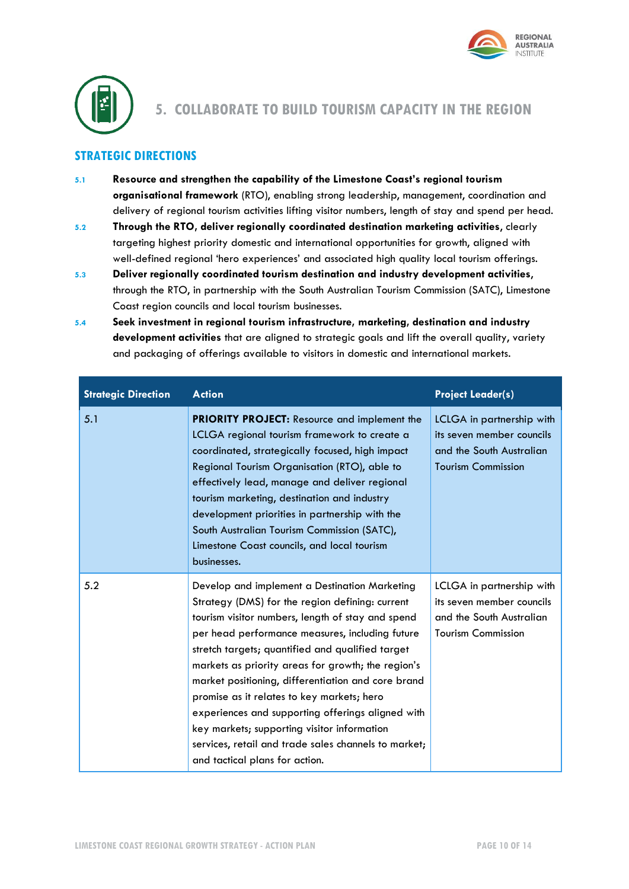



**5. COLLABORATE TO BUILD TOURISM CAPACITY IN THE REGION**

- **5.1 Resource and strengthen the capability of the Limestone Coast's regional tourism organisational framework** (RTO), enabling strong leadership, management, coordination and delivery of regional tourism activities lifting visitor numbers, length of stay and spend per head.
- **5.2 Through the RTO, deliver regionally coordinated destination marketing activities**, clearly targeting highest priority domestic and international opportunities for growth, aligned with well-defined regional 'hero experiences' and associated high quality local tourism offerings.
- **5.3 Deliver regionally coordinated tourism destination and industry development activities**, through the RTO, in partnership with the South Australian Tourism Commission (SATC), Limestone Coast region councils and local tourism businesses.
- **5.4 Seek investment in regional tourism infrastructure, marketing, destination and industry development activities** that are aligned to strategic goals and lift the overall quality, variety and packaging of offerings available to visitors in domestic and international markets.

| <b>Strategic Direction</b> | <b>Action</b>                                                                                                                                                                                                                                                                                                                                                                                                                                                                                                                                                                                                        | <b>Project Leader(s)</b>                                                                                        |
|----------------------------|----------------------------------------------------------------------------------------------------------------------------------------------------------------------------------------------------------------------------------------------------------------------------------------------------------------------------------------------------------------------------------------------------------------------------------------------------------------------------------------------------------------------------------------------------------------------------------------------------------------------|-----------------------------------------------------------------------------------------------------------------|
| 5.1                        | <b>PRIORITY PROJECT:</b> Resource and implement the<br>LCLGA regional tourism framework to create a<br>coordinated, strategically focused, high impact<br>Regional Tourism Organisation (RTO), able to<br>effectively lead, manage and deliver regional<br>tourism marketing, destination and industry<br>development priorities in partnership with the<br>South Australian Tourism Commission (SATC),<br>Limestone Coast councils, and local tourism<br>businesses.                                                                                                                                                | LCLGA in partnership with<br>its seven member councils<br>and the South Australian<br><b>Tourism Commission</b> |
| 5.2                        | Develop and implement a Destination Marketing<br>Strategy (DMS) for the region defining: current<br>tourism visitor numbers, length of stay and spend<br>per head performance measures, including future<br>stretch targets; quantified and qualified target<br>markets as priority areas for growth; the region's<br>market positioning, differentiation and core brand<br>promise as it relates to key markets; hero<br>experiences and supporting offerings aligned with<br>key markets; supporting visitor information<br>services, retail and trade sales channels to market;<br>and tactical plans for action. | LCLGA in partnership with<br>its seven member councils<br>and the South Australian<br><b>Tourism Commission</b> |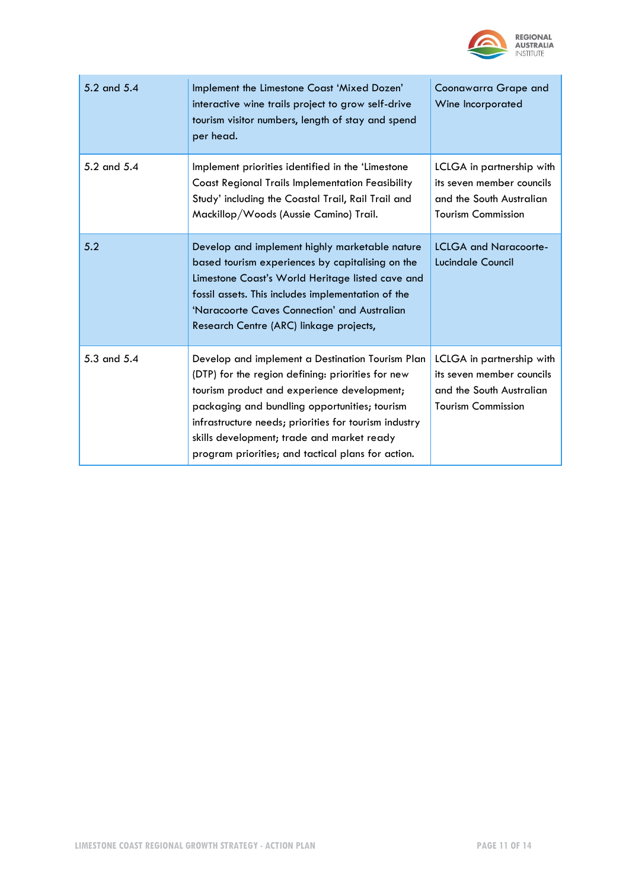

| 5.2 and 5.4 | Implement the Limestone Coast 'Mixed Dozen'<br>interactive wine trails project to grow self-drive<br>tourism visitor numbers, length of stay and spend<br>per head.                                                                                                                                                                                                | Coonawarra Grape and<br>Wine Incorporated                                                                       |
|-------------|--------------------------------------------------------------------------------------------------------------------------------------------------------------------------------------------------------------------------------------------------------------------------------------------------------------------------------------------------------------------|-----------------------------------------------------------------------------------------------------------------|
| 5.2 and 5.4 | Implement priorities identified in the 'Limestone<br><b>Coast Regional Trails Implementation Feasibility</b><br>Study' including the Coastal Trail, Rail Trail and<br>Mackillop/Woods (Aussie Camino) Trail.                                                                                                                                                       | LCLGA in partnership with<br>its seven member councils<br>and the South Australian<br><b>Tourism Commission</b> |
| 5.2         | Develop and implement highly marketable nature<br>based tourism experiences by capitalising on the<br>Limestone Coast's World Heritage listed cave and<br>fossil assets. This includes implementation of the<br>'Naracoorte Caves Connection' and Australian<br>Research Centre (ARC) linkage projects,                                                            | <b>LCLGA and Naracoorte-</b><br>Lucindale Council                                                               |
| 5.3 and 5.4 | Develop and implement a Destination Tourism Plan<br>(DTP) for the region defining: priorities for new<br>tourism product and experience development;<br>packaging and bundling opportunities; tourism<br>infrastructure needs; priorities for tourism industry<br>skills development; trade and market ready<br>program priorities; and tactical plans for action. | LCLGA in partnership with<br>its seven member councils<br>and the South Australian<br><b>Tourism Commission</b> |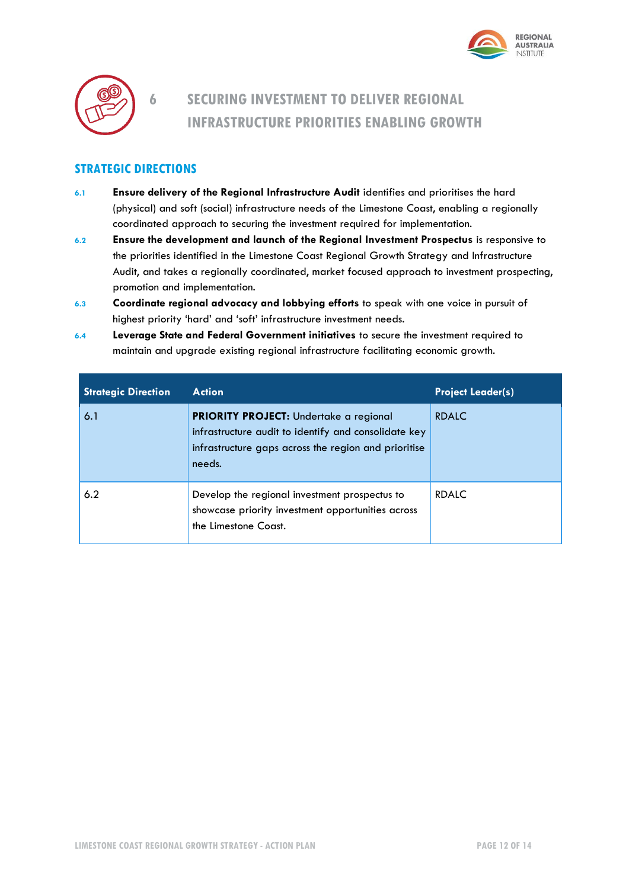



# **6 SECURING INVESTMENT TO DELIVER REGIONAL INFRASTRUCTURE PRIORITIES ENABLING GROWTH**

- **6.1 Ensure delivery of the Regional Infrastructure Audit** identifies and prioritises the hard (physical) and soft (social) infrastructure needs of the Limestone Coast, enabling a regionally coordinated approach to securing the investment required for implementation.
- **6.2 Ensure the development and launch of the Regional Investment Prospectus** is responsive to the priorities identified in the Limestone Coast Regional Growth Strategy and Infrastructure Audit, and takes a regionally coordinated, market focused approach to investment prospecting, promotion and implementation.
- **6.3 Coordinate regional advocacy and lobbying efforts** to speak with one voice in pursuit of highest priority 'hard' and 'soft' infrastructure investment needs.
- **6.4 Leverage State and Federal Government initiatives** to secure the investment required to maintain and upgrade existing regional infrastructure facilitating economic growth.

| <b>Strategic Direction</b> | <b>Action</b>                                                                                                                                                           | <b>Project Leader(s)</b> |
|----------------------------|-------------------------------------------------------------------------------------------------------------------------------------------------------------------------|--------------------------|
| 6.1                        | <b>PRIORITY PROJECT:</b> Undertake a regional<br>infrastructure audit to identify and consolidate key<br>infrastructure gaps across the region and prioritise<br>needs. | <b>RDALC</b>             |
| 6.2                        | Develop the regional investment prospectus to<br>showcase priority investment opportunities across<br>the Limestone Coast.                                              | <b>RDALC</b>             |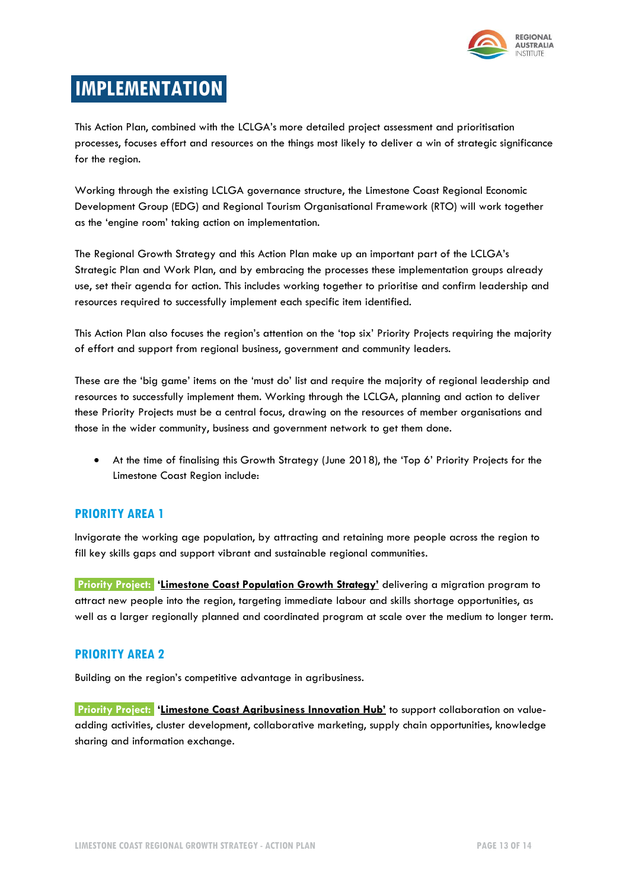

# **IMPLEMENTATION**

This Action Plan, combined with the LCLGA's more detailed project assessment and prioritisation processes, focuses effort and resources on the things most likely to deliver a win of strategic significance for the region.

Working through the existing LCLGA governance structure, the Limestone Coast Regional Economic Development Group (EDG) and Regional Tourism Organisational Framework (RTO) will work together as the 'engine room' taking action on implementation.

The Regional Growth Strategy and this Action Plan make up an important part of the LCLGA's Strategic Plan and Work Plan, and by embracing the processes these implementation groups already use, set their agenda for action. This includes working together to prioritise and confirm leadership and resources required to successfully implement each specific item identified.

This Action Plan also focuses the region's attention on the 'top six' Priority Projects requiring the majority of effort and support from regional business, government and community leaders.

These are the 'big game' items on the 'must do' list and require the majority of regional leadership and resources to successfully implement them. Working through the LCLGA, planning and action to deliver these Priority Projects must be a central focus, drawing on the resources of member organisations and those in the wider community, business and government network to get them done.

 At the time of finalising this Growth Strategy (June 2018), the 'Top 6' Priority Projects for the Limestone Coast Region include:

#### **PRIORITY AREA 1**

Invigorate the working age population, by attracting and retaining more people across the region to fill key skills gaps and support vibrant and sustainable regional communities.

**Priority Project: 'Limestone Coast Population Growth Strategy'** delivering a migration program to attract new people into the region, targeting immediate labour and skills shortage opportunities, as well as a larger regionally planned and coordinated program at scale over the medium to longer term.

#### **PRIORITY AREA 2**

Building on the region's competitive advantage in agribusiness.

**Priority Project: 'Limestone Coast Agribusiness Innovation Hub'** to support collaboration on valueadding activities, cluster development, collaborative marketing, supply chain opportunities, knowledge sharing and information exchange.